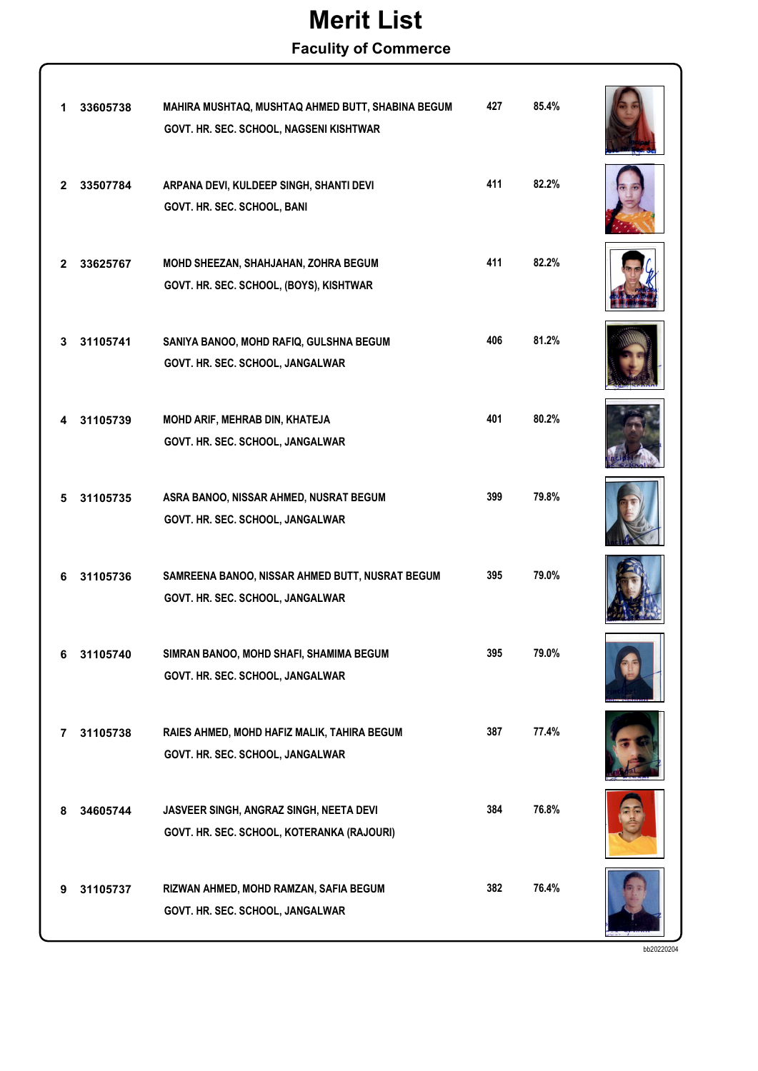## Merit List Faculity of Commerce

| 1            | 33605738 | MAHIRA MUSHTAQ, MUSHTAQ AHMED BUTT, SHABINA BEGUM<br>GOVT. HR. SEC. SCHOOL, NAGSENI KISHTWAR | 427 | 85.4% |  |
|--------------|----------|----------------------------------------------------------------------------------------------|-----|-------|--|
| $\mathbf{2}$ | 33507784 | ARPANA DEVI, KULDEEP SINGH, SHANTI DEVI<br>GOVT. HR. SEC. SCHOOL, BANI                       | 411 | 82.2% |  |
| 2            | 33625767 | MOHD SHEEZAN, SHAHJAHAN, ZOHRA BEGUM<br>GOVT. HR. SEC. SCHOOL, (BOYS), KISHTWAR              | 411 | 82.2% |  |
| 3            | 31105741 | SANIYA BANOO, MOHD RAFIQ, GULSHNA BEGUM<br>GOVT. HR. SEC. SCHOOL, JANGALWAR                  | 406 | 81.2% |  |
| 4            | 31105739 | MOHD ARIF, MEHRAB DIN, KHATEJA<br>GOVT. HR. SEC. SCHOOL, JANGALWAR                           | 401 | 80.2% |  |
| 5            | 31105735 | ASRA BANOO, NISSAR AHMED, NUSRAT BEGUM<br>GOVT. HR. SEC. SCHOOL, JANGALWAR                   | 399 | 79.8% |  |
| 6            | 31105736 | SAMREENA BANOO, NISSAR AHMED BUTT, NUSRAT BEGUM<br>GOVT. HR. SEC. SCHOOL, JANGALWAR          | 395 | 79.0% |  |
|              | 31105740 | SIMRAN BANOO, MOHD SHAFI, SHAMIMA BEGUM<br>GOVT. HR. SEC. SCHOOL, JANGALWAR                  | 395 | 79.0% |  |
| 7            | 31105738 | RAIES AHMED, MOHD HAFIZ MALIK, TAHIRA BEGUM<br>GOVT. HR. SEC. SCHOOL, JANGALWAR              | 387 | 77.4% |  |
| 8            | 34605744 | JASVEER SINGH, ANGRAZ SINGH, NEETA DEVI<br>GOVT. HR. SEC. SCHOOL, KOTERANKA (RAJOURI)        | 384 | 76.8% |  |
| 9            | 31105737 | RIZWAN AHMED, MOHD RAMZAN, SAFIA BEGUM<br>GOVT. HR. SEC. SCHOOL, JANGALWAR                   | 382 | 76.4% |  |

bb20220204